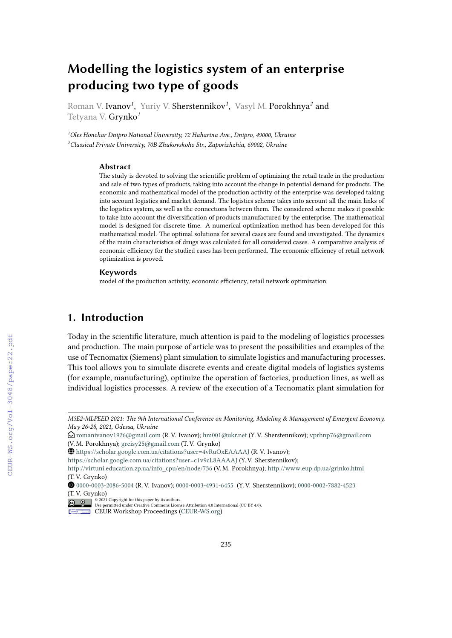# **Modelling the logistics system of an enterprise producing two type of goods**

Roman V. Ivanov*<sup>1</sup>* , Yuriy V. Sherstennikov*<sup>1</sup>* , Vasyl M. Porokhnya*<sup>2</sup>* and Tetyana V. Grynko*<sup>1</sup>*

*<sup>1</sup>Oles Honchar Dnipro National University, 72 Haharina Ave., Dnipro, 49000, Ukraine <sup>2</sup>Classical Private University, 70B Zhukovskoho Str., Zaporizhzhia, 69002, Ukraine*

#### **Abstract**

The study is devoted to solving the scientific problem of optimizing the retail trade in the production and sale of two types of products, taking into account the change in potential demand for products. The economic and mathematical model of the production activity of the enterprise was developed taking into account logistics and market demand. The logistics scheme takes into account all the main links of the logistics system, as well as the connections between them. The considered scheme makes it possible to take into account the diversification of products manufactured by the enterprise. The mathematical model is designed for discrete time. A numerical optimization method has been developed for this mathematical model. The optimal solutions for several cases are found and investigated. The dynamics of the main characteristics of drugs was calculated for all considered cases. A comparative analysis of economic efficiency for the studied cases has been performed. The economic efficiency of retail network optimization is proved.

#### **Keywords**

model of the production activity, economic efficiency, retail network optimization

## **1. Introduction**

Today in the scientific literature, much attention is paid to the modeling of logistics processes and production. The main purpose of article was to present the possibilities and examples of the use of Tecnomatix (Siemens) plant simulation to simulate logistics and manufacturing processes. This tool allows you to simulate discrete events and create digital models of logistics systems (for example, manufacturing), optimize the operation of factories, production lines, as well as individual logistics processes. A review of the execution of a Tecnomatix plant simulation for

*M3E2-MLPEED 2021: The 9th International Conference on Monitoring, Modeling & Management of Emergent Economy, May 26-28, 2021, Odessa, Ukraine*

Envelope-Open [romanivanov1926@gmail.com](mailto:romanivanov1926@gmail.com) (R. V. Ivanov); [hm001@ukr.net](mailto:hm001@ukr.net) (Y. V. Sherstennikov); [vprhnp76@gmail.com](mailto:vprhnp76@gmail.com) (V. M. Porokhnya); [greisy25@gmail.com](mailto:greisy25@gmail.com) (T. V. Grynko)

GLOBE <https://scholar.google.com.ua/citations?user=4vRuOxEAAAAJ> (R. V. Ivanov);

<https://scholar.google.com.ua/citations?user=c1v9cL8AAAAJ> (Y. V. Sherstennikov);

[http://virtuni.education.zp.ua/info\\_cpu/en/node/736](http://virtuni.education.zp.ua/info_cpu/en/node/736) (V. M. Porokhnya); <http://www.eup.dp.ua/grinko.html> (T. V. Grynko)

Orcid [0000-0003-2086-5004](https://orcid.org/0000-0003-2086-5004) (R. V. Ivanov); [0000-0003-4931-6455](https://orcid.org/ 0000-0003-4931-6455 ) (Y. V. Sherstennikov); [0000-0002-7882-4523](https://orcid.org/ 0000-0002-7882-4523 ) (T. V. Grynko)

<sup>© 2021</sup> Copyright for this paper by its authors. Use permitted under Creative Commons License Attribution 4.0 International (CC BY 4.0).

CEUR Workshop [Proceedings](http://ceur-ws.org) [\(CEUR-WS.org\)](http://ceur-ws.org)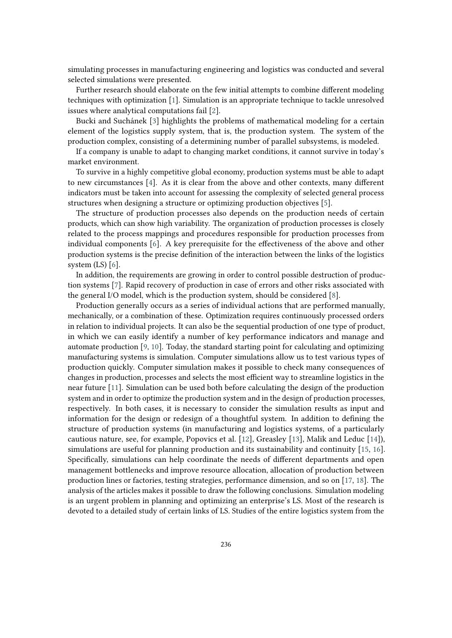simulating processes in manufacturing engineering and logistics was conducted and several selected simulations were presented.

Further research should elaborate on the few initial attempts to combine different modeling techniques with optimization [\[1\]](#page-17-0). Simulation is an appropriate technique to tackle unresolved issues where analytical computations fail [\[2\]](#page-17-1).

Bucki and Suchánek [\[3\]](#page-17-2) highlights the problems of mathematical modeling for a certain element of the logistics supply system, that is, the production system. The system of the production complex, consisting of a determining number of parallel subsystems, is modeled.

If a company is unable to adapt to changing market conditions, it cannot survive in today's market environment.

To survive in a highly competitive global economy, production systems must be able to adapt to new circumstances [\[4\]](#page-17-3). As it is clear from the above and other contexts, many different indicators must be taken into account for assessing the complexity of selected general process structures when designing a structure or optimizing production objectives [\[5\]](#page-18-0).

The structure of production processes also depends on the production needs of certain products, which can show high variability. The organization of production processes is closely related to the process mappings and procedures responsible for production processes from individual components [\[6\]](#page-18-1). A key prerequisite for the effectiveness of the above and other production systems is the precise definition of the interaction between the links of the logistics system (LS) [\[6\]](#page-18-1).

In addition, the requirements are growing in order to control possible destruction of production systems [\[7\]](#page-18-2). Rapid recovery of production in case of errors and other risks associated with the general I/O model, which is the production system, should be considered [\[8\]](#page-18-3).

Production generally occurs as a series of individual actions that are performed manually, mechanically, or a combination of these. Optimization requires continuously processed orders in relation to individual projects. It can also be the sequential production of one type of product, in which we can easily identify a number of key performance indicators and manage and automate production [\[9,](#page-18-4) [10\]](#page-18-5). Today, the standard starting point for calculating and optimizing manufacturing systems is simulation. Computer simulations allow us to test various types of production quickly. Computer simulation makes it possible to check many consequences of changes in production, processes and selects the most efficient way to streamline logistics in the near future [\[11\]](#page-18-6). Simulation can be used both before calculating the design of the production system and in order to optimize the production system and in the design of production processes, respectively. In both cases, it is necessary to consider the simulation results as input and information for the design or redesign of a thoughtful system. In addition to defining the structure of production systems (in manufacturing and logistics systems, of a particularly cautious nature, see, for example, Popovics et al. [\[12\]](#page-18-7), Greasley [\[13\]](#page-18-8), Malik and Leduc [\[14\]](#page-18-9)), simulations are useful for planning production and its sustainability and continuity [\[15,](#page-18-10) [16\]](#page-18-11). Specifically, simulations can help coordinate the needs of different departments and open management bottlenecks and improve resource allocation, allocation of production between production lines or factories, testing strategies, performance dimension, and so on [\[17,](#page-18-12) [18\]](#page-18-13). The analysis of the articles makes it possible to draw the following conclusions. Simulation modeling is an urgent problem in planning and optimizing an enterprise's LS. Most of the research is devoted to a detailed study of certain links of LS. Studies of the entire logistics system from the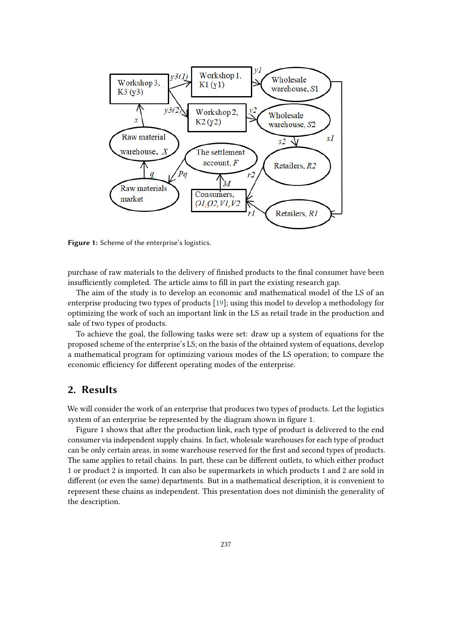

**Figure 1:** Scheme of the enterprise's logistics.

purchase of raw materials to the delivery of finished products to the final consumer have been insufficiently completed. The article aims to fill in part the existing research gap.

The aim of the study is to develop an economic and mathematical model of the LS of an enterprise producing two types of products [\[19\]](#page-18-14); using this model to develop a methodology for optimizing the work of such an important link in the LS as retail trade in the production and sale of two types of products.

To achieve the goal, the following tasks were set: draw up a system of equations for the proposed scheme of the enterprise's LS; on the basis of the obtained system of equations, develop a mathematical program for optimizing various modes of the LS operation; to compare the economic efficiency for different operating modes of the enterprise.

## **2. Results**

We will consider the work of an enterprise that produces two types of products. Let the logistics system of an enterprise be represented by the diagram shown in figure 1.

Figure 1 shows that after the production link, each type of product is delivered to the end consumer via independent supply chains. In fact, wholesale warehouses for each type of product can be only certain areas, in some warehouse reserved for the first and second types of products. The same applies to retail chains. In part, these can be different outlets, to which either product 1 or product 2 is imported. It can also be supermarkets in which products 1 and 2 are sold in different (or even the same) departments. But in a mathematical description, it is convenient to represent these chains as independent. This presentation does not diminish the generality of the description.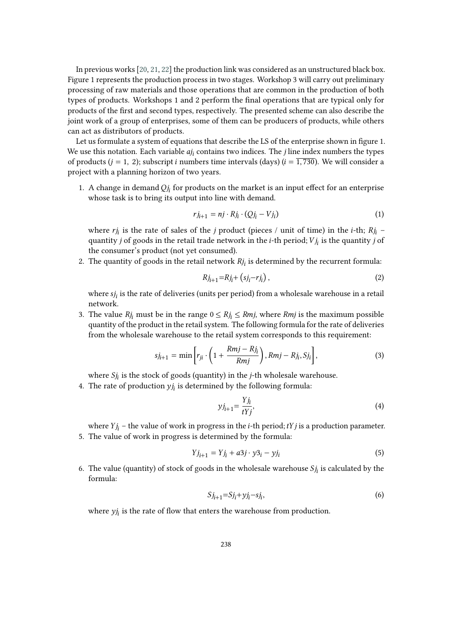In previous works [\[20,](#page-18-15) [21,](#page-19-0) [22\]](#page-19-1) the production link was considered as an unstructured black box. Figure 1 represents the production process in two stages. Workshop 3 will carry out preliminary processing of raw materials and those operations that are common in the production of both types of products. Workshops 1 and 2 perform the final operations that are typical only for products of the first and second types, respectively. The presented scheme can also describe the joint work of a group of enterprises, some of them can be producers of products, while others can act as distributors of products.

Let us formulate a system of equations that describe the LS of the enterprise shown in figure 1. We use this notation. Each variable  $a_{j}$  contains two indices. The *j* line index numbers the types of products ( $j = 1, 2$ ); subscript *i* numbers time intervals (days) ( $i = \overline{1,730}$ ). We will consider a project with a planning horizon of two years.

1. A change in demand  $Qj_i$  for products on the market is an input effect for an enterprise whose task is to bring its output into line with demand.

<span id="page-3-0"></span>
$$
r j_{i+1} = n j \cdot R j_i \cdot (Q j_i - V j_i)
$$
\n<sup>(1)</sup>

where  $r_{j_i}$  is the rate of sales of the *j* product (pieces / unit of time) in the *i*-th;  $Rj_i$  – quantity *j* of goods in the retail trade network in the *i*-th period;  $Vj_i$  is the quantity *j* of the consumer's product (not yet consumed).

2. The quantity of goods in the retail network  $Rj_i$  is determined by the recurrent formula:

$$
Rj_{i+1} = Rj_i + (sj_i - rj_i),
$$
 (2)

where  $s_j$  is the rate of deliveries (units per period) from a wholesale warehouse in a retail network.

3. The value  $Rj_i$  must be in the range  $0 \leq Rj_i \leq Rmj$ , where  $Rmj$  is the maximum possible quantity of the product in the retail system. The following formula for the rate of deliveries from the wholesale warehouse to the retail system corresponds to this requirement:

$$
sj_{i+1} = \min\left[r_{ji} \cdot \left(1 + \frac{Rmj - Rj_i}{Rmj}\right), Rmj - Rj_i, Sj_i\right],\tag{3}
$$

where  $Sj_i$  is the stock of goods (quantity) in the *j*-th wholesale warehouse.

4. The rate of production  $y_{i}$  is determined by the following formula:

<span id="page-3-1"></span>
$$
yj_{i+1} = \frac{Yj_i}{tYj},\tag{4}
$$

where  $Y_{j_i}$  – the value of work in progress in the *i*-th period; *tYj* is a production parameter. 5. The value of work in progress is determined by the formula:

$$
Yj_{i+1} = Yj_i + a3j \cdot y3_i - yj_i \tag{5}
$$

6. The value (quantity) of stock of goods in the wholesale warehouse  $Sj_i$  is calculated by the formula:

$$
Sj_{i+1} = Sj_i + yj_i - sj_i,\tag{6}
$$

where  $y_{j_i}$  is the rate of flow that enters the warehouse from production.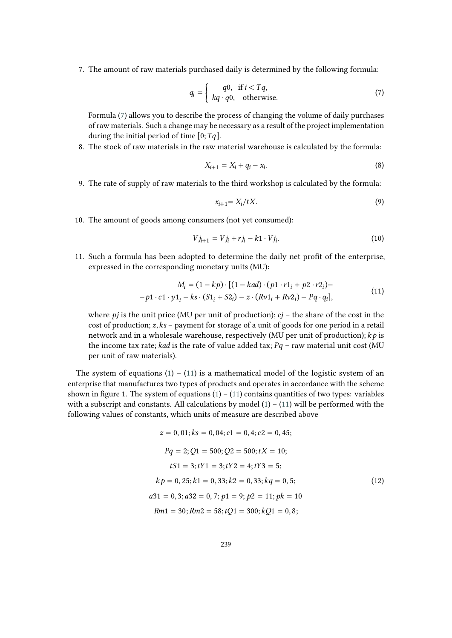7. The amount of raw materials purchased daily is determined by the following formula:

<span id="page-4-0"></span>
$$
q_i = \begin{cases} q0, & \text{if } i < Tq, \\ kq \cdot q0, & \text{otherwise.} \end{cases}
$$
 (7)

Formula [\(7\)](#page-4-0) allows you to describe the process of changing the volume of daily purchases of raw materials. Such a change may be necessary as a result of the project implementation during the initial period of time  $[0; Tq]$ .

8. The stock of raw materials in the raw material warehouse is calculated by the formula:

$$
X_{i+1} = X_i + q_i - x_i.
$$
 (8)

9. The rate of supply of raw materials to the third workshop is calculated by the formula:

$$
x_{i+1} = X_i / tX. \tag{9}
$$

10. The amount of goods among consumers (not yet consumed):

$$
Vj_{i+1} = Vj_i + rj_i - k1 \cdot Vj_i.
$$
 (10)

11. Such a formula has been adopted to determine the daily net profit of the enterprise, expressed in the corresponding monetary units (MU):

$$
M_i = (1 - kp) \cdot [(1 - kad) \cdot (p1 \cdot r1_i + p2 \cdot r2_i) -
$$
  
-p1 \cdot c1 \cdot y1\_i - ks \cdot (S1\_i + S2\_i) - z \cdot (Rv1\_i + Rv2\_i) - Pq \cdot q\_i], (11)

<span id="page-4-1"></span>where  $pi$  is the unit price (MU per unit of production);  $cj$  – the share of the cost in the cost of production;  $z, ks$  – payment for storage of a unit of goods for one period in a retail network and in a wholesale warehouse, respectively (MU per unit of production);  $kp$  is the income tax rate; kad is the rate of value added tax;  $Pq$  – raw material unit cost (MU per unit of raw materials).

The system of equations  $(1) - (11)$  $(1) - (11)$  $(1) - (11)$  is a mathematical model of the logistic system of an enterprise that manufactures two types of products and operates in accordance with the scheme shown in figure 1. The system of equations  $(1) - (11)$  $(1) - (11)$  $(1) - (11)$  contains quantities of two types: variables with a subscript and constants. All calculations by model  $(1) - (11)$  $(1) - (11)$  $(1) - (11)$  will be performed with the following values of constants, which units of measure are described above

$$
z = 0, 01; ks = 0, 04; c1 = 0, 4; c2 = 0, 45;
$$
  
\n
$$
Pq = 2; Q1 = 500; Q2 = 500; tX = 10;
$$
  
\n
$$
tS1 = 3; tY1 = 3; tY2 = 4; tY3 = 5;
$$
  
\n
$$
kp = 0, 25; k1 = 0, 33; k2 = 0, 33; kq = 0, 5;
$$
  
\n
$$
a31 = 0, 3; a32 = 0, 7; p1 = 9; p2 = 11; pk = 10
$$
  
\n
$$
Rm1 = 30; Rm2 = 58; tQ1 = 300; kQ1 = 0, 8;
$$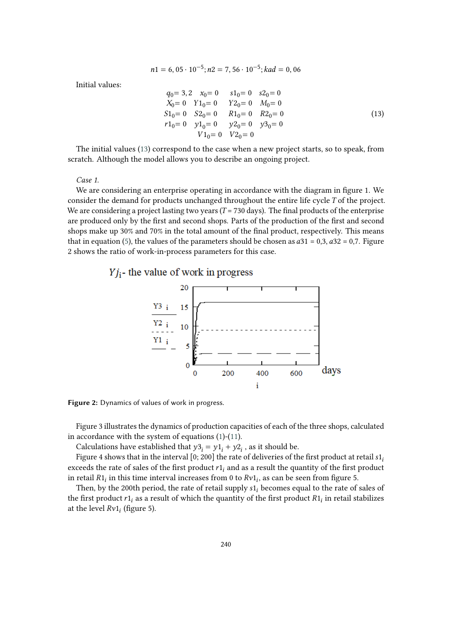$$
n1 = 6,05 \cdot 10^{-5}; n2 = 7,56 \cdot 10^{-5}; kad = 0,06
$$

Initial values:

<span id="page-5-0"></span>
$$
q_0 = 3, 2 \t x_0 = 0 \t s1_0 = 0 \t s2_0 = 0
$$
  
\n
$$
X_0 = 0 \t Y1_0 = 0 \t Y2_0 = 0 \t M_0 = 0
$$
  
\n
$$
S1_0 = 0 \t S2_0 = 0 \t R1_0 = 0 \t R2_0 = 0
$$
  
\n
$$
r1_0 = 0 \t y1_0 = 0 \t y2_0 = 0 \t y3_0 = 0
$$
  
\n
$$
V1_0 = 0 \t V2_0 = 0
$$
\n(13)

The initial values [\(13\)](#page-5-0) correspond to the case when a new project starts, so to speak, from scratch. Although the model allows you to describe an ongoing project.

*Case 1.*

We are considering an enterprise operating in accordance with the diagram in figure 1. We consider the demand for products unchanged throughout the entire life cycle  $T$  of the project. We are considering a project lasting two years ( $T = 730$  days). The final products of the enterprise are produced only by the first and second shops. Parts of the production of the first and second shops make up 30% and 70% in the total amount of the final product, respectively. This means that in equation [\(5\)](#page-3-1), the values of the parameters should be chosen as  $a31 = 0,3$ ,  $a32 = 0,7$ . Figure 2 shows the ratio of work-in-process parameters for this case.

### $Yj_i$ - the value of work in progress



**Figure 2:** Dynamics of values of work in progress.

Figure 3 illustrates the dynamics of production capacities of each of the three shops, calculated in accordance with the system of equations [\(1\)](#page-3-0)-[\(11\)](#page-4-1).

Calculations have established that  $y3_i = y1_i + y2_i$ , as it should be.

Figure 4 shows that in the interval [0; 200] the rate of deliveries of the first product at retail  $s1$ . exceeds the rate of sales of the first product  $r1<sub>i</sub>$  and as a result the quantity of the first product in retail  $R1_i$  in this time interval increases from 0 to  $Rv1_i$ , as can be seen from figure 5.

Then, by the 200th period, the rate of retail supply  $s1_i$  becomes equal to the rate of sales of the first product  $r1_i$  as a result of which the quantity of the first product  $R1_i$  in retail stabilizes at the level  $Rv1_i$  (figure 5).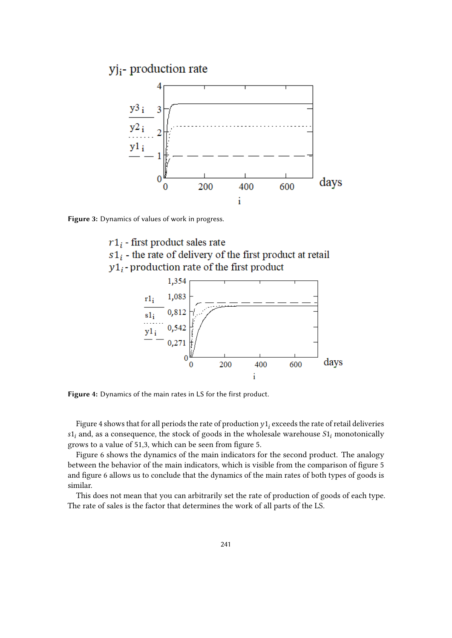

**Figure 3:** Dynamics of values of work in progress.

 $r1_i$  - first product sales rate  $s1_i$  - the rate of delivery of the first product at retail  $y1_i$ -production rate of the first product



**Figure 4:** Dynamics of the main rates in LS for the first product.

Figure 4 shows that for all periods the rate of production  $y1_{i}$  exceeds the rate of retail deliveries  $s1<sub>i</sub>$  and, as a consequence, the stock of goods in the wholesale warehouse  $S1<sub>i</sub>$  monotonically grows to a value of 51,3, which can be seen from figure 5.

Figure 6 shows the dynamics of the main indicators for the second product. The analogy between the behavior of the main indicators, which is visible from the comparison of figure 5 and figure 6 allows us to conclude that the dynamics of the main rates of both types of goods is similar.

This does not mean that you can arbitrarily set the rate of production of goods of each type. The rate of sales is the factor that determines the work of all parts of the LS.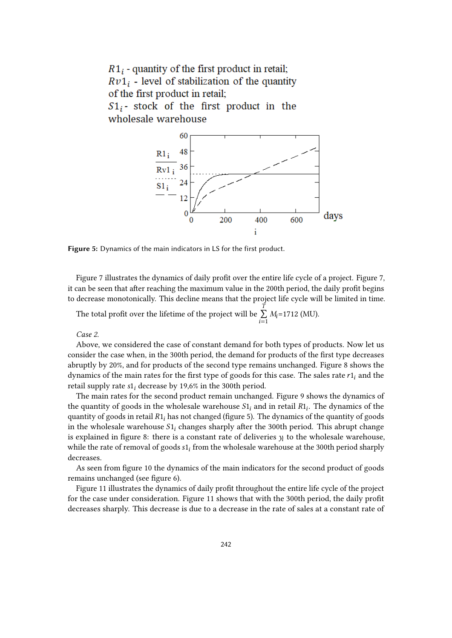

**Figure 5:** Dynamics of the main indicators in LS for the first product.

Figure 7 illustrates the dynamics of daily profit over the entire life cycle of a project. Figure 7, it can be seen that after reaching the maximum value in the 200th period, the daily profit begins to decrease monotonically. This decline means that the project life cycle will be limited in time.

The total profit over the lifetime of the project will be  $\overline{a}$ ∑  $\sum_{i=1} M_i = 1712$  (MU).

*Case 2*.

Above, we considered the case of constant demand for both types of products. Now let us consider the case when, in the 300th period, the demand for products of the first type decreases abruptly by 20%, and for products of the second type remains unchanged. Figure 8 shows the dynamics of the main rates for the first type of goods for this case. The sales rate  $r1_i$  and the retail supply rate  $s1_i$  decrease by 19,6% in the 300th period.

The main rates for the second product remain unchanged. Figure 9 shows the dynamics of the quantity of goods in the wholesale warehouse  $S1_i$  and in retail  $R1_i$ . The dynamics of the quantity of goods in retail  $R1_i$  has not changed (figure 5). The dynamics of the quantity of goods in the wholesale warehouse  $S1_i$  changes sharply after the 300th period. This abrupt change is explained in figure 8: there is a constant rate of deliveries  $y_i$  to the wholesale warehouse, while the rate of removal of goods  $s1<sub>i</sub>$  from the wholesale warehouse at the 300th period sharply decreases.

As seen from figure 10 the dynamics of the main indicators for the second product of goods remains unchanged (see figure 6).

Figure 11 illustrates the dynamics of daily profit throughout the entire life cycle of the project for the case under consideration. Figure 11 shows that with the 300th period, the daily profit decreases sharply. This decrease is due to a decrease in the rate of sales at a constant rate of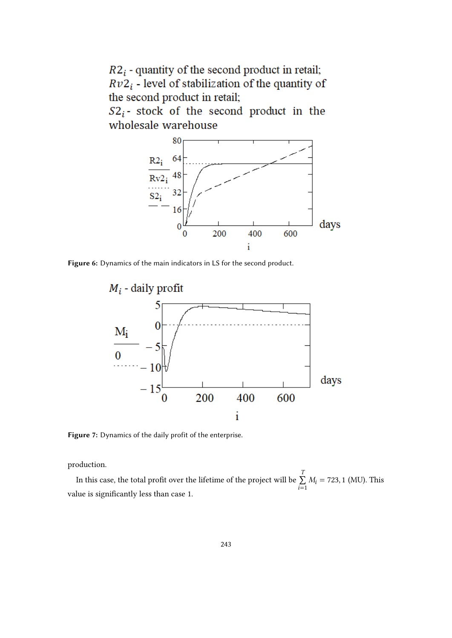$R2_i$  - quantity of the second product in retail;  $Rv2_i$  - level of stabilization of the quantity of the second product in retail;

 $S2_i$ - stock of the second product in the wholesale warehouse



**Figure 6:** Dynamics of the main indicators in LS for the second product.



**Figure 7:** Dynamics of the daily profit of the enterprise.

production.

In this case, the total profit over the lifetime of the project will be  $\overline{1}$ ∑  $\sum_{i=1} M_i = 723, 1$  (MU). This value is significantly less than case 1.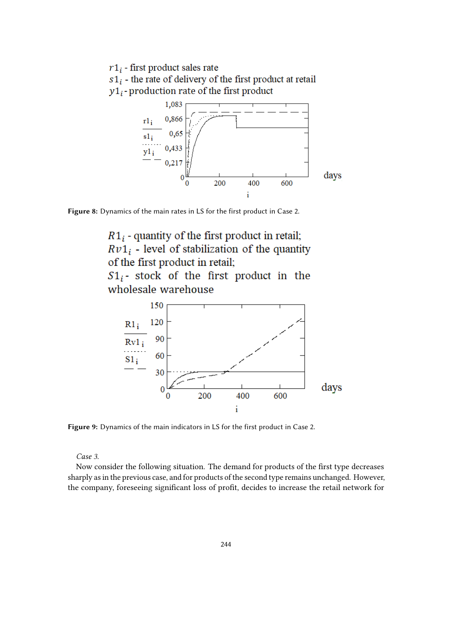$r1_i$  - first product sales rate  $s1_i$  - the rate of delivery of the first product at retail  $y1_i$ -production rate of the first product





 $R1_i$  - quantity of the first product in retail;  $Rv1_i$  - level of stabilization of the quantity of the first product in retail;  $S1_i$ - stock of the first product in the

wholesale warehouse



**Figure 9:** Dynamics of the main indicators in LS for the first product in Case 2.

*Case 3.*

Now consider the following situation. The demand for products of the first type decreases sharply as in the previous case, and for products of the second type remains unchanged. However, the company, foreseeing significant loss of profit, decides to increase the retail network for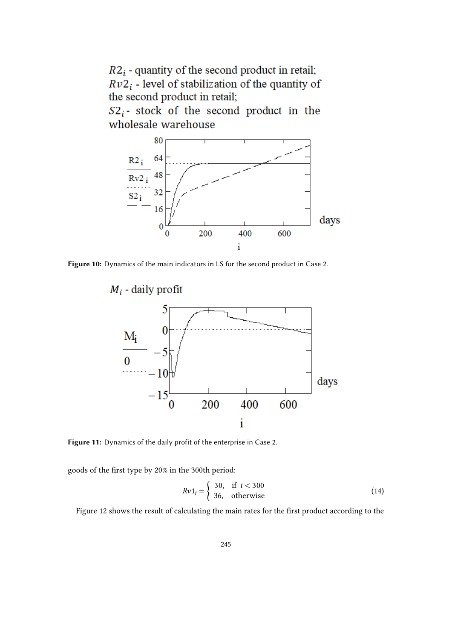$R2_i$  - quantity of the second product in retail;  $Rv2_i$  - level of stabilization of the quantity of the second product in retail;

 $S2_i$ - stock of the second product in the wholesale warehouse



**Figure 10:** Dynamics of the main indicators in LS for the second product in Case 2.



**Figure 11:** Dynamics of the daily profit of the enterprise in Case 2.

goods of the first type by 20% in the 300th period:

<span id="page-10-0"></span>
$$
Rv1_i = \begin{cases} 30, & \text{if } i < 300\\ 36, & \text{otherwise} \end{cases}
$$
 (14)

Figure 12 shows the result of calculating the main rates for the first product according to the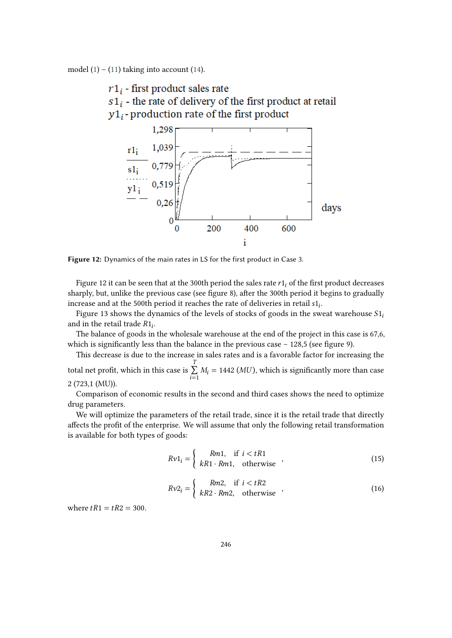model  $(1) - (11)$  $(1) - (11)$  taking into account  $(14)$ .

 $r1_i$  - first product sales rate

 $s1_i$  - the rate of delivery of the first product at retail  $y1_i$ -production rate of the first product



**Figure 12:** Dynamics of the main rates in LS for the first product in Case 3.

Figure 12 it can be seen that at the 300th period the sales rate  $r1<sub>i</sub>$  of the first product decreases sharply, but, unlike the previous case (see figure 8), after the 300th period it begins to gradually increase and at the 500th period it reaches the rate of deliveries in retail  $s1_i$ .

Figure 13 shows the dynamics of the levels of stocks of goods in the sweat warehouse  $S1_i$ and in the retail trade  $R1_i$ .

The balance of goods in the wholesale warehouse at the end of the project in this case is 67,6, which is significantly less than the balance in the previous case  $-128.5$  (see figure 9).

This decrease is due to the increase in sales rates and is a favorable factor for increasing the total net profit, which in this case is  $\overline{1}$ ∑  $\sum_{i=1}$   $M_i = 1442$  (*MU*), which is significantly more than case

2 (723,1 (MU)).

Comparison of economic results in the second and third cases shows the need to optimize drug parameters.

We will optimize the parameters of the retail trade, since it is the retail trade that directly affects the profit of the enterprise. We will assume that only the following retail transformation is available for both types of goods:

<span id="page-11-0"></span>
$$
Rv1_i = \begin{cases} Rm1, & \text{if } i < tR1\\ kR1 \cdot Rm1, & \text{otherwise} \end{cases} \tag{15}
$$

<span id="page-11-1"></span>
$$
Rv2_i = \begin{cases} Rm2, & \text{if } i < tR2\\ kR2 \cdot Rm2, & \text{otherwise} \end{cases} \tag{16}
$$

where  $tR1 = tR2 = 300$ .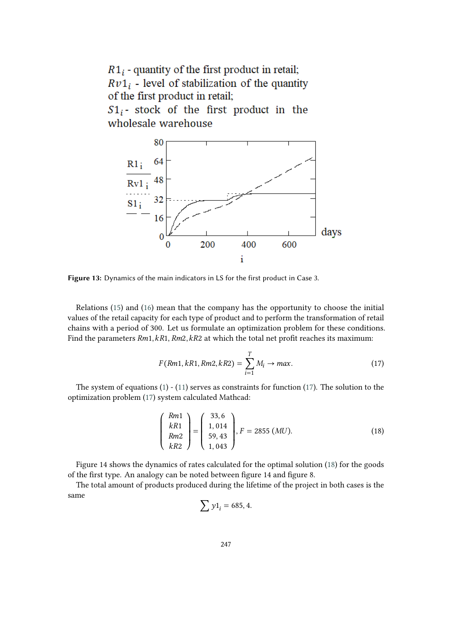

**Figure 13:** Dynamics of the main indicators in LS for the first product in Case 3.

Relations [\(15\)](#page-11-0) and [\(16\)](#page-11-1) mean that the company has the opportunity to choose the initial values of the retail capacity for each type of product and to perform the transformation of retail chains with a period of 300. Let us formulate an optimization problem for these conditions. Find the parameters  $Rm1, kR1, Rm2, kR2$  at which the total net profit reaches its maximum:

<span id="page-12-0"></span>
$$
F(Rm1, kR1, Rm2, kR2) = \sum_{i=1}^{T} M_i \to max.
$$
 (17)

The system of equations [\(1\)](#page-3-0) - [\(11\)](#page-4-1) serves as constraints for function [\(17\)](#page-12-0). The solution to the optimization problem [\(17\)](#page-12-0) system calculated Mathcad:

<span id="page-12-1"></span>
$$
\begin{pmatrix} Rm1 \ kR1 \ Rm2 \ kR2 \end{pmatrix} = \begin{pmatrix} 33,6 \ 1,014 \ 59,43 \ 1,043 \end{pmatrix}, F = 2855 (MU).
$$
 (18)

Figure 14 shows the dynamics of rates calculated for the optimal solution [\(18\)](#page-12-1) for the goods of the first type. An analogy can be noted between figure 14 and figure 8.

The total amount of products produced during the lifetime of the project in both cases is the same

$$
\sum y1_i = 685, 4.
$$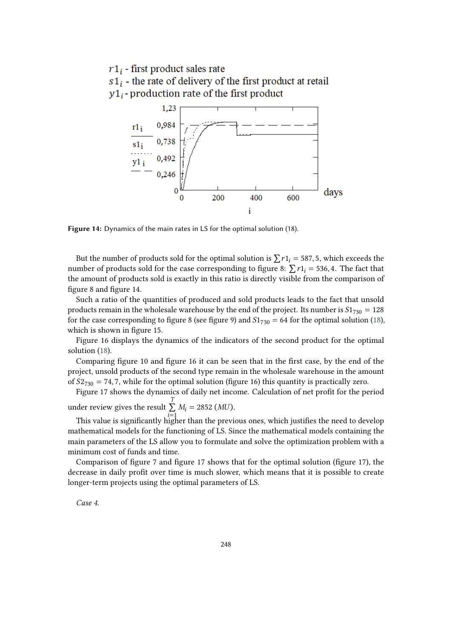$r1_i$  - first product sales rate  $s1_i$  - the rate of delivery of the first product at retail  $y1_i$ -production rate of the first product



**Figure 14:** Dynamics of the main rates in LS for the optimal solution (18).

But the number of products sold for the optimal solution is  $\sum r_1 = 587, 5$ , which exceeds the number of products sold for the case corresponding to figure 8:  $\sum r1_i = 536, 4$ . The fact that the amount of products sold is exactly in this ratio is directly visible from the comparison of figure 8 and figure 14.

Such a ratio of the quantities of produced and sold products leads to the fact that unsold products remain in the wholesale warehouse by the end of the project. Its number is  $S1_{730} = 128$ for the case corresponding to figure 8 (see figure 9) and  $S1_{730} = 64$  for the optimal solution [\(18\)](#page-12-1), which is shown in figure 15.

Figure 16 displays the dynamics of the indicators of the second product for the optimal solution [\(18\)](#page-12-1).

Comparing figure 10 and figure 16 it can be seen that in the first case, by the end of the project, unsold products of the second type remain in the wholesale warehouse in the amount of  $S2_{730} = 74, 7$ , while for the optimal solution (figure 16) this quantity is practically zero.

Figure 17 shows the dynamics of daily net income. Calculation of net profit for the period

under review gives the result  $\overline{1}$ ∑  $\sum_{i=1} M_i = 2852$  (*MU*).

This value is significantly higher than the previous ones, which justifies the need to develop mathematical models for the functioning of LS. Since the mathematical models containing the main parameters of the LS allow you to formulate and solve the optimization problem with a minimum cost of funds and time.

Comparison of figure 7 and figure 17 shows that for the optimal solution (figure 17), the decrease in daily profit over time is much slower, which means that it is possible to create longer-term projects using the optimal parameters of LS.

*Case 4.*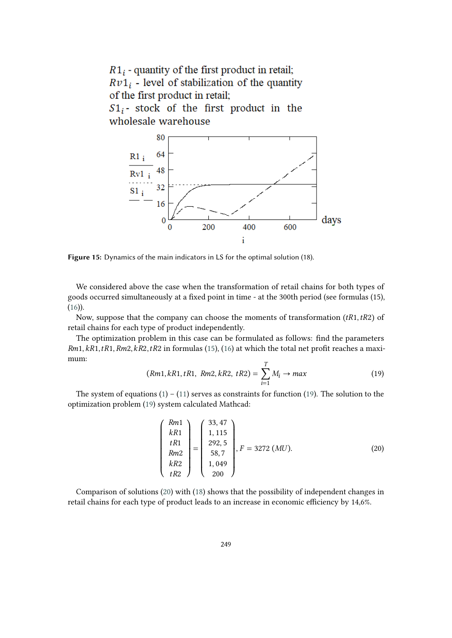

**Figure 15:** Dynamics of the main indicators in LS for the optimal solution (18).

We considered above the case when the transformation of retail chains for both types of goods occurred simultaneously at a fixed point in time - at the 300th period (see formulas (15),  $(16)$ ).

Now, suppose that the company can choose the moments of transformation  $(tR1, tR2)$  of retail chains for each type of product independently.

The optimization problem in this case can be formulated as follows: find the parameters  $Rm1, kR1, tR1, Rm2, kR2, tR2$  in formulas [\(15\)](#page-11-0), [\(16\)](#page-11-1) at which the total net profit reaches a maximum:

<span id="page-14-0"></span>
$$
(Rm1, kR1, tR1, Rm2, kR2, tR2) = \sum_{i=1}^{T} M_i \to max
$$
 (19)

The system of equations  $(1) - (11)$  $(1) - (11)$  $(1) - (11)$  serves as constraints for function  $(19)$ . The solution to the optimization problem [\(19\)](#page-14-0) system calculated Mathcad:

<span id="page-14-1"></span>
$$
\begin{pmatrix} Rm1 \ kR1 \ tR1 \ Rm2 \ kR2 \ tR2 \end{pmatrix} = \begin{pmatrix} 33,47 \ 1,115 \ 292,5 \ 58,7 \ 1,049 \ 200 \end{pmatrix}, F = 3272 (MU).
$$
 (20)

Comparison of solutions [\(20\)](#page-14-1) with [\(18\)](#page-12-1) shows that the possibility of independent changes in retail chains for each type of product leads to an increase in economic efficiency by 14,6%.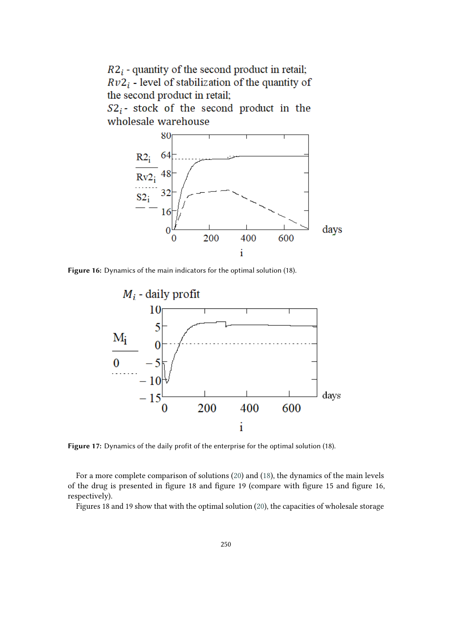$R2_i$  - quantity of the second product in retail;  $Rv2_i$  - level of stabilization of the quantity of the second product in retail;

 $S2_i$ - stock of the second product in the wholesale warehouse



**Figure 16:** Dynamics of the main indicators for the optimal solution (18).



**Figure 17:** Dynamics of the daily profit of the enterprise for the optimal solution (18).

For a more complete comparison of solutions [\(20\)](#page-14-1) and [\(18\)](#page-12-1), the dynamics of the main levels of the drug is presented in figure 18 and figure 19 (compare with figure 15 and figure 16, respectively).

Figures 18 and 19 show that with the optimal solution [\(20\)](#page-14-1), the capacities of wholesale storage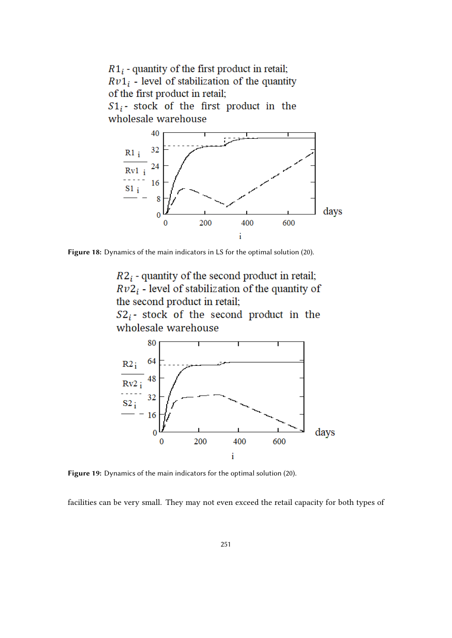

**Figure 18:** Dynamics of the main indicators in LS for the optimal solution (20).

 $R2_i$  - quantity of the second product in retail;  $Rv2_i$  - level of stabilization of the quantity of the second product in retail;

 $S2_i$ - stock of the second product in the wholesale warehouse



**Figure 19:** Dynamics of the main indicators for the optimal solution (20).

facilities can be very small. They may not even exceed the retail capacity for both types of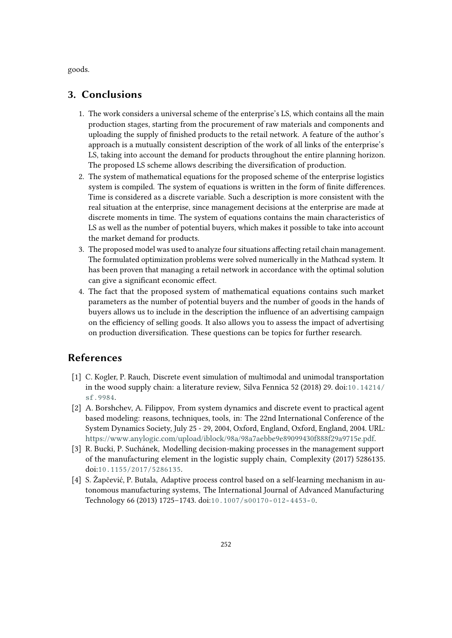goods.

# **3. Conclusions**

- 1. The work considers a universal scheme of the enterprise's LS, which contains all the main production stages, starting from the procurement of raw materials and components and uploading the supply of finished products to the retail network. A feature of the author's approach is a mutually consistent description of the work of all links of the enterprise's LS, taking into account the demand for products throughout the entire planning horizon. The proposed LS scheme allows describing the diversification of production.
- 2. The system of mathematical equations for the proposed scheme of the enterprise logistics system is compiled. The system of equations is written in the form of finite differences. Time is considered as a discrete variable. Such a description is more consistent with the real situation at the enterprise, since management decisions at the enterprise are made at discrete moments in time. The system of equations contains the main characteristics of LS as well as the number of potential buyers, which makes it possible to take into account the market demand for products.
- 3. The proposed model was used to analyze four situations affecting retail chain management. The formulated optimization problems were solved numerically in the Mathcad system. It has been proven that managing a retail network in accordance with the optimal solution can give a significant economic effect.
- 4. The fact that the proposed system of mathematical equations contains such market parameters as the number of potential buyers and the number of goods in the hands of buyers allows us to include in the description the influence of an advertising campaign on the efficiency of selling goods. It also allows you to assess the impact of advertising on production diversification. These questions can be topics for further research.

# **References**

- <span id="page-17-0"></span>[1] C. Kogler, P. Rauch, Discrete event simulation of multimodal and unimodal transportation in the wood supply chain: a literature review, Silva Fennica 52 (2018) 29. doi:[10.14214/](http://dx.doi.org/10.14214/sf.9984) [sf.9984](http://dx.doi.org/10.14214/sf.9984).
- <span id="page-17-1"></span>[2] A. Borshchev, A. Filippov, From system dynamics and discrete event to practical agent based modeling: reasons, techniques, tools, in: The 22nd International Conference of the System Dynamics Society, July 25 - 29, 2004, Oxford, England, Oxford, England, 2004. URL: [https://www.anylogic.com/upload/iblock/98a/98a7aebbe9e89099430f888f29a9715e.pdf.](https://www.anylogic.com/upload/iblock/98a/98a7aebbe9e89099430f888f29a9715e.pdf)
- <span id="page-17-2"></span>[3] R. Bucki, P. Suchánek, Modelling decision-making processes in the management support of the manufacturing element in the logistic supply chain, Complexity (2017) 5286135. doi:[10.1155/2017/5286135](http://dx.doi.org/10.1155/2017/5286135).
- <span id="page-17-3"></span>[4] S. Žapčević, P. Butala, Adaptive process control based on a self-learning mechanism in autonomous manufacturing systems, The International Journal of Advanced Manufacturing Technology 66 (2013) 1725–1743. doi:[10.1007/s00170- 012- 4453- 0](http://dx.doi.org/10.1007/s00170-012-4453-0).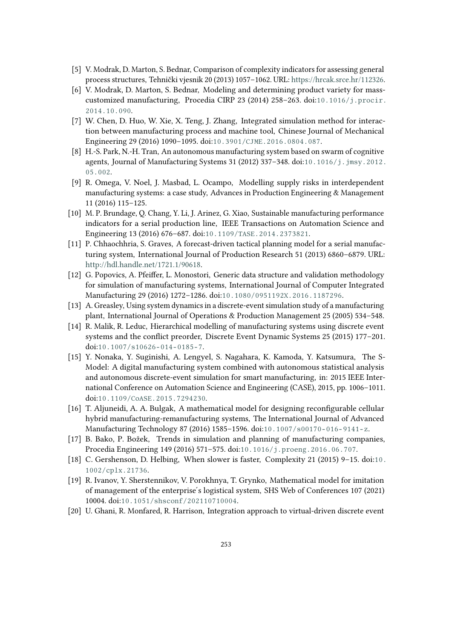- <span id="page-18-0"></span>[5] V. Modrak, D. Marton, S. Bednar, Comparison of complexity indicators for assessing general process structures, Tehnički vjesnik 20 (2013) 1057–1062. URL: [https://hrcak.srce.hr/112326.](https://hrcak.srce.hr/112326)
- <span id="page-18-1"></span>[6] V. Modrak, D. Marton, S. Bednar, Modeling and determining product variety for masscustomized manufacturing, Procedia CIRP 23 (2014) 258–263. doi:[10.1016/j.procir.](http://dx.doi.org/10.1016/j.procir.2014.10.090) [2014.10.090](http://dx.doi.org/10.1016/j.procir.2014.10.090).
- <span id="page-18-2"></span>[7] W. Chen, D. Huo, W. Xie, X. Teng, J. Zhang, Integrated simulation method for interaction between manufacturing process and machine tool, Chinese Journal of Mechanical Engineering 29 (2016) 1090–1095. doi:[10.3901/CJME.2016.0804.087](http://dx.doi.org/10.3901/CJME.2016.0804.087).
- <span id="page-18-3"></span>[8] H.-S. Park, N.-H. Tran, An autonomous manufacturing system based on swarm of cognitive agents, Journal of Manufacturing Systems 31 (2012) 337-348. doi:[10.1016/j.jmsy.2012.](http://dx.doi.org/10.1016/j.jmsy.2012.05.002) [05.002](http://dx.doi.org/10.1016/j.jmsy.2012.05.002).
- <span id="page-18-4"></span>[9] R. Omega, V. Noel, J. Masbad, L. Ocampo, Modelling supply risks in interdependent manufacturing systems: a case study, Advances in Production Engineering & Management 11 (2016) 115–125.
- <span id="page-18-5"></span>[10] M. P. Brundage, Q. Chang, Y. Li, J. Arinez, G. Xiao, Sustainable manufacturing performance indicators for a serial production line, IEEE Transactions on Automation Science and Engineering 13 (2016) 676–687. doi:[10.1109/TASE.2014.2373821](http://dx.doi.org/10.1109/TASE.2014.2373821).
- <span id="page-18-6"></span>[11] P. Chhaochhria, S. Graves, A forecast-driven tactical planning model for a serial manufacturing system, International Journal of Production Research 51 (2013) 6860–6879. URL: [http://hdl.handle.net/1721.1/90618.](http://hdl.handle.net/1721.1/90618)
- <span id="page-18-7"></span>[12] G. Popovics, A. Pfeiffer, L. Monostori, Generic data structure and validation methodology for simulation of manufacturing systems, International Journal of Computer Integrated Manufacturing 29 (2016) 1272–1286. doi:[10.1080/0951192X.2016.1187296](http://dx.doi.org/10.1080/0951192X.2016.1187296).
- <span id="page-18-8"></span>[13] A. Greasley, Using system dynamics in a discrete-event simulation study of a manufacturing plant, International Journal of Operations & Production Management 25 (2005) 534–548.
- <span id="page-18-9"></span>[14] R. Malik, R. Leduc, Hierarchical modelling of manufacturing systems using discrete event systems and the conflict preorder, Discrete Event Dynamic Systems 25 (2015) 177–201. doi:[10.1007/s10626- 014- 0185- 7](http://dx.doi.org/10.1007/s10626-014-0185-7).
- <span id="page-18-10"></span>[15] Y. Nonaka, Y. Suginishi, A. Lengyel, S. Nagahara, K. Kamoda, Y. Katsumura, The S-Model: A digital manufacturing system combined with autonomous statistical analysis and autonomous discrete-event simulation for smart manufacturing, in: 2015 IEEE International Conference on Automation Science and Engineering (CASE), 2015, pp. 1006–1011. doi:[10.1109/CoASE.2015.7294230](http://dx.doi.org/10.1109/CoASE.2015.7294230).
- <span id="page-18-11"></span>[16] T. Aljuneidi, A. A. Bulgak, A mathematical model for designing reconfigurable cellular hybrid manufacturing-remanufacturing systems, The International Journal of Advanced Manufacturing Technology 87 (2016) 1585-1596. doi:10.1007/s00170-016-9141-z.
- <span id="page-18-12"></span>[17] B. Bako, P. Božek, Trends in simulation and planning of manufacturing companies, Procedia Engineering 149 (2016) 571–575. doi:[10.1016/j.proeng.2016.06.707](http://dx.doi.org/10.1016/j.proeng.2016.06.707).
- <span id="page-18-13"></span>[18] C. Gershenson, D. Helbing, When slower is faster, Complexity 21 (2015) 9–15. doi:[10.](http://dx.doi.org/10.1002/cplx.21736) [1002/cplx.21736](http://dx.doi.org/10.1002/cplx.21736).
- <span id="page-18-14"></span>[19] R. Ivanov, Y. Sherstennikov, V. Porokhnya, T. Grynko, Mathematical model for imitation of management of the enterprise ́s logistical system, SHS Web of Conferences 107 (2021) 10004. doi:[10.1051/shsconf/202110710004](http://dx.doi.org/10.1051/shsconf/202110710004).
- <span id="page-18-15"></span>[20] U. Ghani, R. Monfared, R. Harrison, Integration approach to virtual-driven discrete event